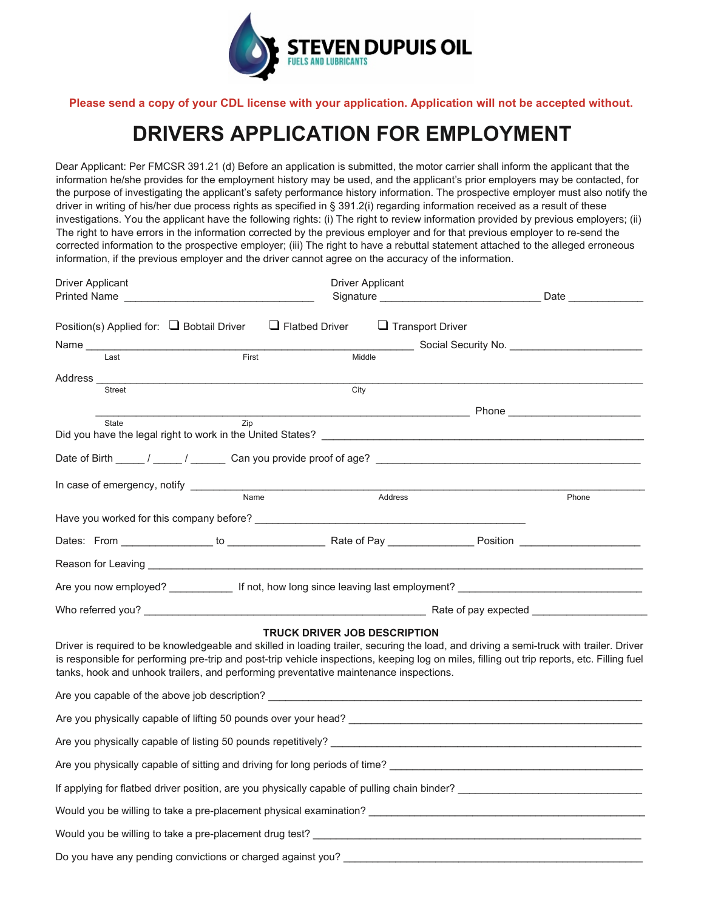

**Please send a copy of your CDL license with your application. Application will not be accepted without.**

# **DRIVERS APPLICATION FOR EMPLOYMENT**

Dear Applicant: Per FMCSR 391.21 (d) Before an application is submitted, the motor carrier shall inform the applicant that the information he/she provides for the employment history may be used, and the applicant's prior employers may be contacted, for the purpose of investigating the applicant's safety performance history information. The prospective employer must also notify the driver in writing of his/her due process rights as specified in § 391.2(i) regarding information received as a result of these investigations. You the applicant have the following rights: (i) The right to review information provided by previous employers; (ii) The right to have errors in the information corrected by the previous employer and for that previous employer to re-send the corrected information to the prospective employer; (iii) The right to have a rebuttal statement attached to the alleged erroneous information, if the previous employer and the driver cannot agree on the accuracy of the information.

| <b>Driver Applicant</b>                                                                                                                                                                                                                                                                                                                                                         |       | <b>Driver Applicant</b>             |                                              |       |  |  |
|---------------------------------------------------------------------------------------------------------------------------------------------------------------------------------------------------------------------------------------------------------------------------------------------------------------------------------------------------------------------------------|-------|-------------------------------------|----------------------------------------------|-------|--|--|
| Printed Name                                                                                                                                                                                                                                                                                                                                                                    |       |                                     |                                              |       |  |  |
| Position(s) Applied for: $\Box$ Bobtail Driver                                                                                                                                                                                                                                                                                                                                  |       | $\Box$ Flatbed Driver               | $\Box$ Transport Driver                      |       |  |  |
| Name _____                                                                                                                                                                                                                                                                                                                                                                      |       |                                     | Social Security No. <u>_________________</u> |       |  |  |
| Last                                                                                                                                                                                                                                                                                                                                                                            | First | Middle                              |                                              |       |  |  |
| Address_                                                                                                                                                                                                                                                                                                                                                                        |       |                                     |                                              |       |  |  |
| <b>Street</b>                                                                                                                                                                                                                                                                                                                                                                   |       | City                                |                                              |       |  |  |
|                                                                                                                                                                                                                                                                                                                                                                                 |       |                                     |                                              |       |  |  |
| State                                                                                                                                                                                                                                                                                                                                                                           | Zip   |                                     |                                              |       |  |  |
|                                                                                                                                                                                                                                                                                                                                                                                 |       |                                     |                                              |       |  |  |
|                                                                                                                                                                                                                                                                                                                                                                                 |       |                                     |                                              |       |  |  |
| In case of emergency, notify __________                                                                                                                                                                                                                                                                                                                                         |       |                                     |                                              |       |  |  |
|                                                                                                                                                                                                                                                                                                                                                                                 | Name  | Address                             |                                              | Phone |  |  |
|                                                                                                                                                                                                                                                                                                                                                                                 |       |                                     |                                              |       |  |  |
|                                                                                                                                                                                                                                                                                                                                                                                 |       |                                     |                                              |       |  |  |
|                                                                                                                                                                                                                                                                                                                                                                                 |       |                                     |                                              |       |  |  |
| Are you now employed? The state of the official into the bong since leaving last employment?                                                                                                                                                                                                                                                                                    |       |                                     |                                              |       |  |  |
|                                                                                                                                                                                                                                                                                                                                                                                 |       |                                     |                                              |       |  |  |
| Driver is required to be knowledgeable and skilled in loading trailer, securing the load, and driving a semi-truck with trailer. Driver<br>is responsible for performing pre-trip and post-trip vehicle inspections, keeping log on miles, filling out trip reports, etc. Filling fuel<br>tanks, hook and unhook trailers, and performing preventative maintenance inspections. |       | <b>TRUCK DRIVER JOB DESCRIPTION</b> |                                              |       |  |  |
| Are you capable of the above job description? ___________________________________                                                                                                                                                                                                                                                                                               |       |                                     |                                              |       |  |  |
|                                                                                                                                                                                                                                                                                                                                                                                 |       |                                     |                                              |       |  |  |
|                                                                                                                                                                                                                                                                                                                                                                                 |       |                                     |                                              |       |  |  |
| Are you physically capable of sitting and driving for long periods of time?                                                                                                                                                                                                                                                                                                     |       |                                     |                                              |       |  |  |
| If applying for flatbed driver position, are you physically capable of pulling chain binder?                                                                                                                                                                                                                                                                                    |       |                                     |                                              |       |  |  |
| Would you be willing to take a pre-placement physical examination? ________________________________                                                                                                                                                                                                                                                                             |       |                                     |                                              |       |  |  |
| Would you be willing to take a pre-placement drug test? _________________________                                                                                                                                                                                                                                                                                               |       |                                     |                                              |       |  |  |
| Do you have any pending convictions or charged against you?                                                                                                                                                                                                                                                                                                                     |       |                                     |                                              |       |  |  |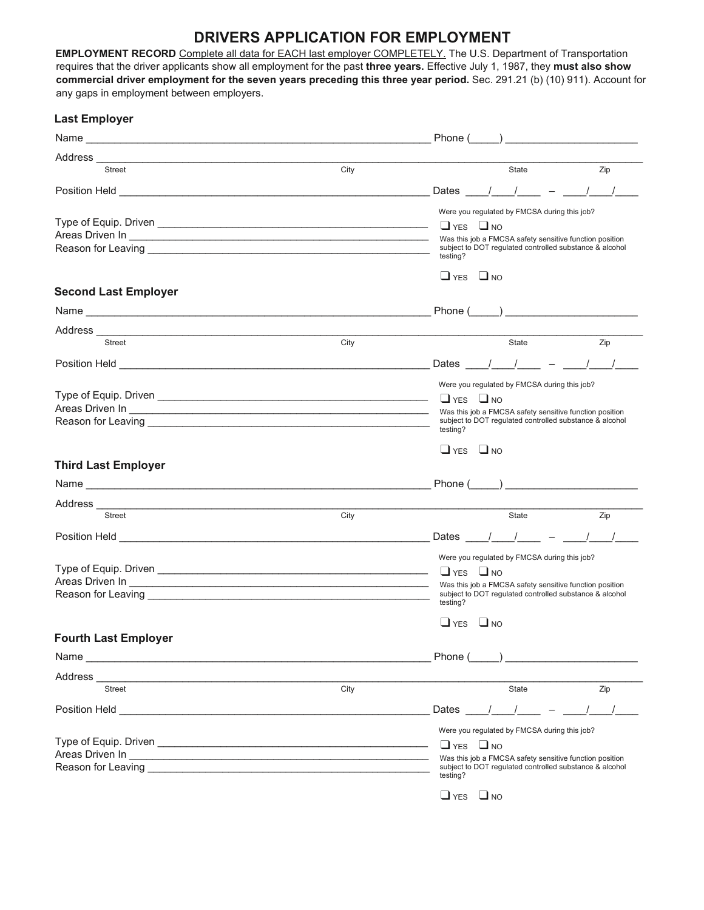# **DRIVERS APPLICATION FOR EMPLOYMENT**

**EMPLOYMENT RECORD** Complete all data for EACH last employer COMPLETELY. The U.S. Department of Transportation requires that the driver applicants show all employment for the past **three years.** Effective July 1, 1987, they **must also show commercial driver employment for the seven years preceding this three year period.** Sec. 291.21 (b) (10) 911). Account for any gaps in employment between employers.

| <b>Last Employer</b>                                                                                                                                                                                                                                                                                                                                   |      |                                                                                                                    |
|--------------------------------------------------------------------------------------------------------------------------------------------------------------------------------------------------------------------------------------------------------------------------------------------------------------------------------------------------------|------|--------------------------------------------------------------------------------------------------------------------|
|                                                                                                                                                                                                                                                                                                                                                        |      | Phone $(\_\_)$                                                                                                     |
|                                                                                                                                                                                                                                                                                                                                                        |      |                                                                                                                    |
| Street                                                                                                                                                                                                                                                                                                                                                 | City | <b>State</b><br>Zip                                                                                                |
|                                                                                                                                                                                                                                                                                                                                                        |      | Dates                                                                                                              |
|                                                                                                                                                                                                                                                                                                                                                        |      | Were you regulated by FMCSA during this job?                                                                       |
|                                                                                                                                                                                                                                                                                                                                                        |      | $\Box$ YES $\Box$ NO                                                                                               |
| Areas Driven In <b>Areas</b> Christian Contract Christian Christian Christian Christian Christian Christian Christian Christian Christian Christian Christian Christian Christian Christian Christian Christian Christian Christian<br>Reason for Leaving <b>Constitution of the Constitution of the Constitution Constitution of the Constitution</b> |      | Was this job a FMCSA safety sensitive function position<br>subject to DOT regulated controlled substance & alcohol |
|                                                                                                                                                                                                                                                                                                                                                        |      | testing?                                                                                                           |
|                                                                                                                                                                                                                                                                                                                                                        |      | $\Box$ YES $\Box$ NO                                                                                               |
| <b>Second Last Employer</b>                                                                                                                                                                                                                                                                                                                            |      |                                                                                                                    |
|                                                                                                                                                                                                                                                                                                                                                        |      |                                                                                                                    |
|                                                                                                                                                                                                                                                                                                                                                        |      |                                                                                                                    |
| Street                                                                                                                                                                                                                                                                                                                                                 | City | State<br>Zip                                                                                                       |
|                                                                                                                                                                                                                                                                                                                                                        |      | $-$ / /<br>$\frac{1}{2}$<br>Dates                                                                                  |
|                                                                                                                                                                                                                                                                                                                                                        |      | Were you regulated by FMCSA during this job?                                                                       |
|                                                                                                                                                                                                                                                                                                                                                        |      | $\Box$ YES $\Box$ NO                                                                                               |
|                                                                                                                                                                                                                                                                                                                                                        |      | Was this job a FMCSA safety sensitive function position<br>subject to DOT regulated controlled substance & alcohol |
| Reason for Leaving <b>Exercise Contract Contract Contract Contract Contract Contract Contract Contract Contract Contract Contract Contract Contract Contract Contract Contract Contract Contract Contract Contract Contract Cont</b>                                                                                                                   |      | testing?                                                                                                           |
|                                                                                                                                                                                                                                                                                                                                                        |      | $\Box$ YES $\Box$ NO                                                                                               |
| <b>Third Last Employer</b>                                                                                                                                                                                                                                                                                                                             |      |                                                                                                                    |
|                                                                                                                                                                                                                                                                                                                                                        |      |                                                                                                                    |
|                                                                                                                                                                                                                                                                                                                                                        |      |                                                                                                                    |
| <b>Street</b>                                                                                                                                                                                                                                                                                                                                          | City | State<br>Zip                                                                                                       |
|                                                                                                                                                                                                                                                                                                                                                        |      | Dates / /                                                                                                          |
|                                                                                                                                                                                                                                                                                                                                                        |      | Were you regulated by FMCSA during this job?                                                                       |
|                                                                                                                                                                                                                                                                                                                                                        |      | $\Box$ YES $\Box$ NO                                                                                               |
|                                                                                                                                                                                                                                                                                                                                                        |      | Was this job a FMCSA safety sensitive function position                                                            |
| Reason for Leaving <b>Contract Contract Contract Contract Contract Contract Contract Contract Contract Contract Contract Contract Contract Contract Contract Contract Contract Contract Contract Contract Contract Contract Cont</b>                                                                                                                   |      | subject to DOT regulated controlled substance & alcohol<br>testing?                                                |
|                                                                                                                                                                                                                                                                                                                                                        |      | $\Box$ YES<br>$\Box$ NO                                                                                            |
| <b>Fourth Last Employer</b>                                                                                                                                                                                                                                                                                                                            |      |                                                                                                                    |
|                                                                                                                                                                                                                                                                                                                                                        |      | Phone (<br>$\overline{a}$                                                                                          |
| Address                                                                                                                                                                                                                                                                                                                                                |      |                                                                                                                    |
| <b>Street</b>                                                                                                                                                                                                                                                                                                                                          | City | State<br>Zip                                                                                                       |
|                                                                                                                                                                                                                                                                                                                                                        |      | Dates                                                                                                              |
|                                                                                                                                                                                                                                                                                                                                                        |      | Were you regulated by FMCSA during this job?                                                                       |
|                                                                                                                                                                                                                                                                                                                                                        |      | $\Box$ YES $\Box$ NO                                                                                               |
| Areas Driven In League and the Contract of the Contract of the Contract of the Contract of the Contract of the                                                                                                                                                                                                                                         |      | Was this job a FMCSA safety sensitive function position                                                            |
| Reason for Leaving the contract of the contract of the contract of the contract of the contract of the contract of the contract of the contract of the contract of the contract of the contract of the contract of the contrac                                                                                                                         |      | subject to DOT regulated controlled substance & alcohol<br>testing?                                                |
|                                                                                                                                                                                                                                                                                                                                                        |      | $\Box$ YES<br>$\Box$ NO                                                                                            |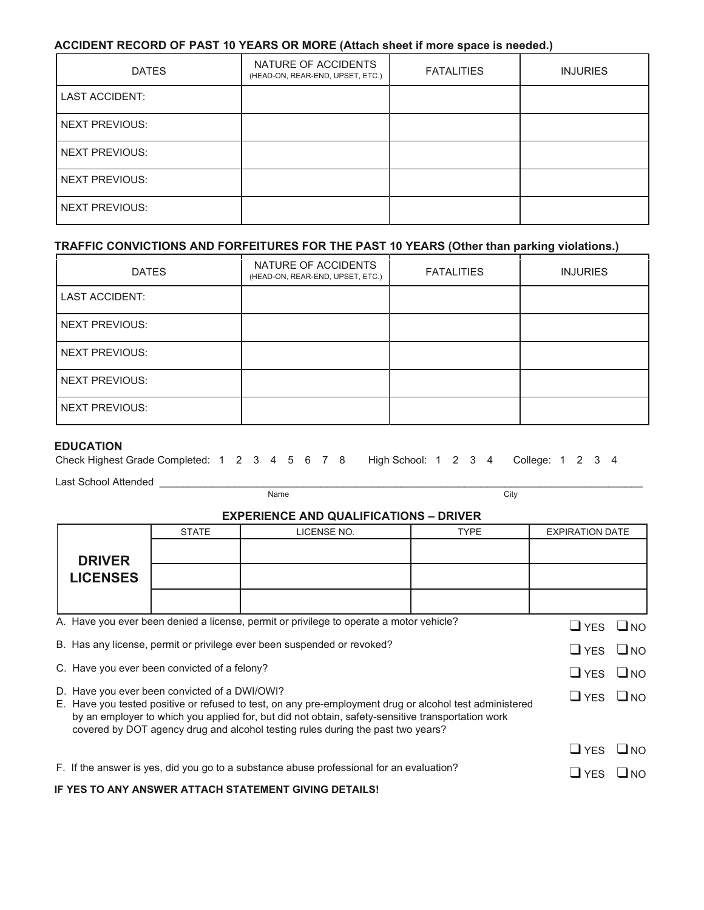#### **ACCIDENT RECORD OF PAST 10 YEARS OR MORE (Attach sheet if more space is needed.)**

| <b>DATES</b>          | NATURE OF ACCIDENTS<br>(HEAD-ON, REAR-END, UPSET, ETC.) | <b>FATALITIES</b> | <b>INJURIES</b> |
|-----------------------|---------------------------------------------------------|-------------------|-----------------|
| <b>LAST ACCIDENT:</b> |                                                         |                   |                 |
| <b>NEXT PREVIOUS:</b> |                                                         |                   |                 |
| <b>NEXT PREVIOUS:</b> |                                                         |                   |                 |
| <b>NEXT PREVIOUS:</b> |                                                         |                   |                 |
| <b>NEXT PREVIOUS:</b> |                                                         |                   |                 |

#### **TRAFFIC CONVICTIONS AND FORFEITURES FOR THE PAST 10 YEARS (Other than parking violations.)**

| <b>DATES</b>          | NATURE OF ACCIDENTS<br>(HEAD-ON, REAR-END, UPSET, ETC.) | <b>FATALITIES</b> | <b>INJURIES</b> |
|-----------------------|---------------------------------------------------------|-------------------|-----------------|
| <b>LAST ACCIDENT:</b> |                                                         |                   |                 |
| <b>NEXT PREVIOUS:</b> |                                                         |                   |                 |
| <b>NEXT PREVIOUS:</b> |                                                         |                   |                 |
| <b>NEXT PREVIOUS:</b> |                                                         |                   |                 |
| <b>NEXT PREVIOUS:</b> |                                                         |                   |                 |

#### **EDUCATION**

| Check Highest Grade Completed: 1 2 3 4 5 6 7 8 High School: 1 2 3 4 College: 1 2 3 4 |  |  |  |  |  |  |  |  |  |  |  |  |  |  |  |  |  |  |
|--------------------------------------------------------------------------------------|--|--|--|--|--|--|--|--|--|--|--|--|--|--|--|--|--|--|
|--------------------------------------------------------------------------------------|--|--|--|--|--|--|--|--|--|--|--|--|--|--|--|--|--|--|

Last School Attended \_\_\_\_\_\_\_\_\_\_\_\_\_\_\_\_\_\_\_\_\_\_\_\_\_\_\_\_\_\_\_\_\_\_\_\_\_\_\_\_\_\_\_\_\_\_\_\_\_\_\_\_\_\_\_\_\_\_\_\_\_\_\_\_\_\_\_\_\_\_\_\_\_\_\_\_\_\_\_\_\_\_\_\_

| Citv<br>Name |
|--------------|
|--------------|

## **EXPERIENCE AND QUALIFICATIONS – DRIVER**

|                                                                                                                                                                                                                                                                                                 |                                                                                         | <b>STATE</b>                                  | LICENSE NO.                                                                              | <b>TYPE</b> | <b>EXPIRATION DATE</b> |  |  |
|-------------------------------------------------------------------------------------------------------------------------------------------------------------------------------------------------------------------------------------------------------------------------------------------------|-----------------------------------------------------------------------------------------|-----------------------------------------------|------------------------------------------------------------------------------------------|-------------|------------------------|--|--|
|                                                                                                                                                                                                                                                                                                 |                                                                                         |                                               |                                                                                          |             |                        |  |  |
|                                                                                                                                                                                                                                                                                                 | <b>DRIVER</b>                                                                           |                                               |                                                                                          |             |                        |  |  |
|                                                                                                                                                                                                                                                                                                 | <b>LICENSES</b>                                                                         |                                               |                                                                                          |             |                        |  |  |
|                                                                                                                                                                                                                                                                                                 |                                                                                         |                                               |                                                                                          |             |                        |  |  |
|                                                                                                                                                                                                                                                                                                 | A. Have you ever been denied a license, permit or privilege to operate a motor vehicle? |                                               |                                                                                          |             |                        |  |  |
|                                                                                                                                                                                                                                                                                                 | B. Has any license, permit or privilege ever been suspended or revoked?                 |                                               |                                                                                          |             |                        |  |  |
|                                                                                                                                                                                                                                                                                                 |                                                                                         | C. Have you ever been convicted of a felony?  |                                                                                          |             | $\Box$ YES $\Box$ NO   |  |  |
|                                                                                                                                                                                                                                                                                                 |                                                                                         | D. Have you ever been convicted of a DWI/OWI? |                                                                                          |             | $\Box$ YES $\Box$ NO   |  |  |
| E. Have you tested positive or refused to test, on any pre-employment drug or alcohol test administered<br>by an employer to which you applied for, but did not obtain, safety-sensitive transportation work<br>covered by DOT agency drug and alcohol testing rules during the past two years? |                                                                                         |                                               |                                                                                          |             |                        |  |  |
|                                                                                                                                                                                                                                                                                                 | $\Box$ YES $\Box$ NO                                                                    |                                               |                                                                                          |             |                        |  |  |
|                                                                                                                                                                                                                                                                                                 |                                                                                         |                                               | F. If the answer is yes, did you go to a substance abuse professional for an evaluation? |             | $\Box$ YES $\Box$ NO   |  |  |
|                                                                                                                                                                                                                                                                                                 |                                                                                         |                                               | IF YES TO ANY ANSWER ATTACH STATEMENT GIVING DETAILS!                                    |             |                        |  |  |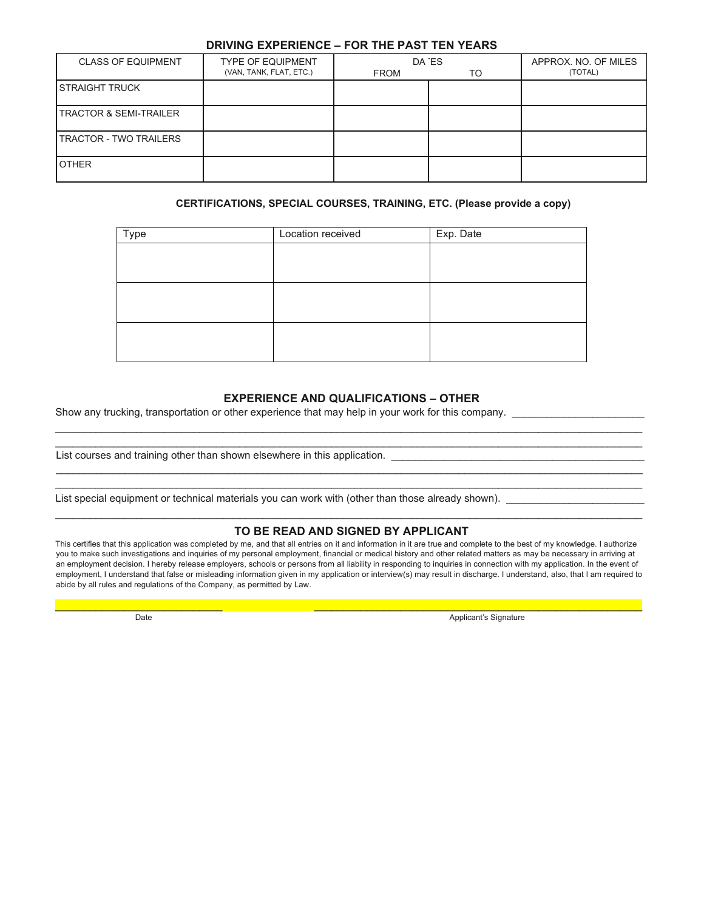#### **DRIVING EXPERIENCE – FOR THE PAST TEN YEARS**

| <b>CLASS OF EQUIPMENT</b>         | <b>TYPE OF EQUIPMENT</b><br>(VAN, TANK, FLAT, ETC.) | <b>FROM</b> | DA ES<br>TO | APPROX. NO. OF MILES<br>(TOTAL) |
|-----------------------------------|-----------------------------------------------------|-------------|-------------|---------------------------------|
| <b>STRAIGHT TRUCK</b>             |                                                     |             |             |                                 |
| <b>TRACTOR &amp; SEMI-TRAILER</b> |                                                     |             |             |                                 |
| <b>TRACTOR - TWO TRAILERS</b>     |                                                     |             |             |                                 |
| <b>OTHER</b>                      |                                                     |             |             |                                 |

#### **CERTIFICATIONS, SPECIAL COURSES, TRAINING, ETC. (Please provide a copy)**

| Type | Location received | Exp. Date |
|------|-------------------|-----------|
|      |                   |           |
|      |                   |           |
|      |                   |           |
|      |                   |           |
|      |                   |           |
|      |                   |           |

#### **EXPERIENCE AND QUALIFICATIONS – OTHER**

\_\_\_\_\_\_\_\_\_\_\_\_\_\_\_\_\_\_\_\_\_\_\_\_\_\_\_\_\_\_\_\_\_\_\_\_\_\_\_\_\_\_\_\_\_\_\_\_\_\_\_\_\_\_\_\_\_\_\_\_\_\_\_\_\_\_\_\_\_\_\_\_\_\_\_\_\_\_\_\_\_\_\_\_\_\_\_\_\_\_\_\_\_\_\_\_\_\_\_\_\_\_  $\_$  ,  $\_$  ,  $\_$  ,  $\_$  ,  $\_$  ,  $\_$  ,  $\_$  ,  $\_$  ,  $\_$  ,  $\_$  ,  $\_$  ,  $\_$  ,  $\_$  ,  $\_$  ,  $\_$  ,  $\_$  ,  $\_$  ,  $\_$  ,  $\_$  ,  $\_$  ,  $\_$  ,  $\_$  ,  $\_$  ,  $\_$  ,  $\_$  ,  $\_$  ,  $\_$  ,  $\_$  ,  $\_$  ,  $\_$  ,  $\_$  ,  $\_$  ,  $\_$  ,  $\_$  ,  $\_$  ,  $\_$  ,  $\_$  ,

\_\_\_\_\_\_\_\_\_\_\_\_\_\_\_\_\_\_\_\_\_\_\_\_\_\_\_\_\_\_\_\_\_\_\_\_\_\_\_\_\_\_\_\_\_\_\_\_\_\_\_\_\_\_\_\_\_\_\_\_\_\_\_\_\_\_\_\_\_\_\_\_\_\_\_\_\_\_\_\_\_\_\_\_\_\_\_\_\_\_\_\_\_\_\_\_\_\_\_\_\_\_ \_\_\_\_\_\_\_\_\_\_\_\_\_\_\_\_\_\_\_\_\_\_\_\_\_\_\_\_\_\_\_\_\_\_\_\_\_\_\_\_\_\_\_\_\_\_\_\_\_\_\_\_\_\_\_\_\_\_\_\_\_\_\_\_\_\_\_\_\_\_\_\_\_\_\_\_\_\_\_\_\_\_\_\_\_\_\_\_\_\_\_\_\_\_\_\_\_\_\_\_\_\_

Show any trucking, transportation or other experience that may help in your work for this company. \_\_\_\_\_\_\_\_\_\_\_

List courses and training other than shown elsewhere in this application.

List special equipment or technical materials you can work with (other than those already shown). \_\_\_\_\_\_\_\_\_\_\_\_

## \_\_\_\_\_\_\_\_\_\_\_\_\_\_\_\_\_\_\_\_\_\_\_\_\_\_\_\_\_\_\_\_\_\_\_\_\_\_\_\_\_\_\_\_\_\_\_\_\_\_\_\_\_\_\_\_\_\_\_\_\_\_\_\_\_\_\_\_\_\_\_\_\_\_\_\_\_\_\_\_\_\_\_\_\_\_\_\_\_\_\_\_\_\_\_\_\_\_\_\_\_\_ **TO BE READ AND SIGNED BY APPLICANT**

This certifies that this application was completed by me, and that all entries on it and information in it are true and complete to the best of my knowledge. I authorize you to make such investigations and inquiries of my personal employment, financial or medical history and other related matters as may be necessary in arriving at an employment decision. I hereby release employers, schools or persons from all liability in responding to inquiries in connection with my application. In the event of employment, I understand that false or misleading information given in my application or interview(s) may result in discharge. I understand, also, that I am required to abide by all rules and regulations of the Company, as permitted by Law.

\_\_\_\_\_\_\_\_\_\_\_\_\_\_\_\_\_\_\_\_\_\_\_\_\_\_\_\_\_ \_\_\_\_\_\_\_\_\_\_\_\_\_\_\_\_\_\_\_\_\_\_\_\_\_\_\_\_\_\_\_\_\_\_\_\_\_\_\_\_\_\_\_\_\_\_\_\_\_\_\_\_\_\_\_\_\_

Date Applicant's Signature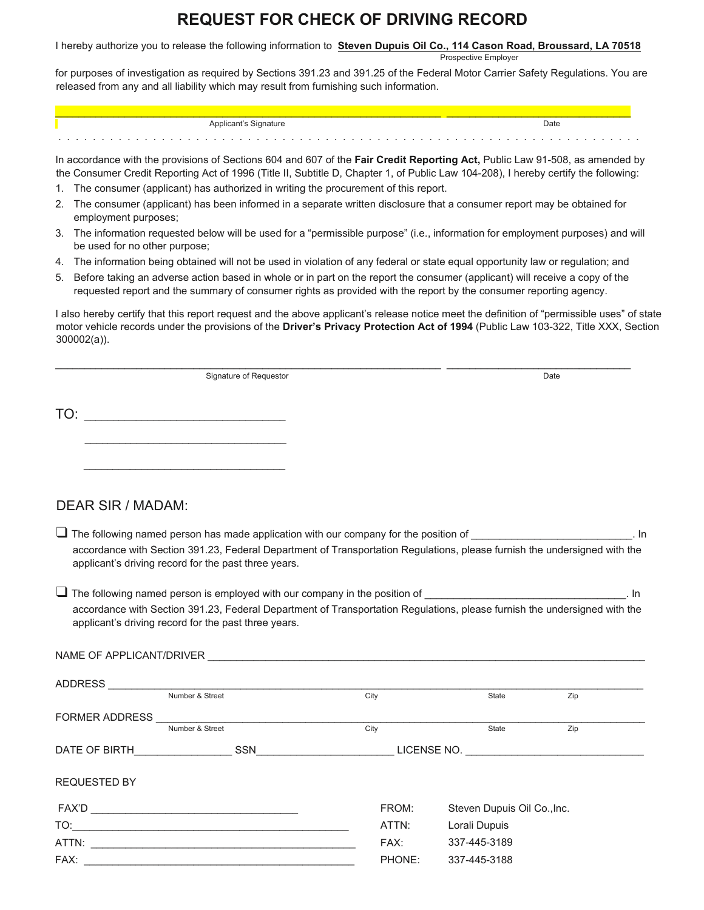# **REQUEST FOR CHECK OF DRIVING RECORD**

I hereby authorize you to release the following information to **Steven Dupuis Oil Co., 114 Cason Road, Broussard, LA 70518**

Prospective Employer

for purposes of investigation as required by Sections 391.23 and 391.25 of the Federal Motor Carrier Safety Regulations. You are released from any and all liability which may result from furnishing such information.

| Applicant's Signature | Date |  |  |
|-----------------------|------|--|--|
| .                     | .    |  |  |

In accordance with the provisions of Sections 604 and 607 of the **Fair Credit Reporting Act,** Public Law 91-508, as amended by the Consumer Credit Reporting Act of 1996 (Title II, Subtitle D, Chapter 1, of Public Law 104-208), I hereby certify the following:

- 1. The consumer (applicant) has authorized in writing the procurement of this report.
- 2. The consumer (applicant) has been informed in a separate written disclosure that a consumer report may be obtained for employment purposes;
- 3. The information requested below will be used for a "permissible purpose" (i.e., information for employment purposes) and will be used for no other purpose;
- 4. The information being obtained will not be used in violation of any federal or state equal opportunity law or regulation; and
- 5. Before taking an adverse action based in whole or in part on the report the consumer (applicant) will receive a copy of the requested report and the summary of consumer rights as provided with the report by the consumer reporting agency.

\_\_\_\_\_\_\_\_\_\_\_\_\_\_\_\_\_\_\_\_\_\_\_\_\_\_\_\_\_\_\_\_\_\_\_\_\_\_\_\_\_\_\_\_\_\_\_\_\_\_\_\_\_\_\_\_\_\_\_\_\_\_\_\_\_\_\_ \_\_\_\_\_\_\_\_\_\_\_\_\_\_\_\_\_\_\_\_\_\_\_\_\_\_\_\_\_\_\_\_

I also hereby certify that this report request and the above applicant's release notice meet the definition of "permissible uses" of state motor vehicle records under the provisions of the **Driver's Privacy Protection Act of 1994** (Public Law 103-322, Title XXX, Section 300002(a)).

| Signature of Requestor | Date |
|------------------------|------|
|------------------------|------|

TO: \_\_\_\_\_\_\_\_\_\_\_\_\_\_\_\_\_\_\_\_\_\_\_\_\_\_\_\_\_\_\_\_\_\_\_

\_\_\_\_\_\_\_\_\_\_\_\_\_\_\_\_\_\_\_\_\_\_\_\_\_\_\_\_\_\_\_\_\_\_\_

\_\_\_\_\_\_\_\_\_\_\_\_\_\_\_\_\_\_\_\_\_\_\_\_\_\_\_\_\_\_\_\_\_\_\_

# DEAR SIR / MADAM:

- $\Box$  The following named person has made application with our company for the position of  $\Box$ accordance with Section 391.23, Federal Department of Transportation Regulations, please furnish the undersigned with the applicant's driving record for the past three years.
- $\Box$  The following named person is employed with our company in the position of  $\Box$ accordance with Section 391.23, Federal Department of Transportation Regulations, please furnish the undersigned with the applicant's driving record for the past three years.

| ADDRESS                                       |                 |        |                             |     |  |
|-----------------------------------------------|-----------------|--------|-----------------------------|-----|--|
|                                               | Number & Street | City   | <b>State</b>                | Zip |  |
| <b>FORMER ADDRESS</b>                         |                 |        |                             |     |  |
|                                               | Number & Street | City   | State                       | Zip |  |
| DATE OF BIRTH <b>CONTRACTLE DATE OF BIRTH</b> | SSN             |        | LICENSE NO.                 |     |  |
| <b>REQUESTED BY</b>                           |                 |        |                             |     |  |
|                                               |                 | FROM:  | Steven Dupuis Oil Co., Inc. |     |  |
|                                               |                 | ATTN:  | Lorali Dupuis               |     |  |
|                                               |                 | FAX:   | 337-445-3189                |     |  |
| FAX:                                          |                 | PHONE: | 337-445-3188                |     |  |